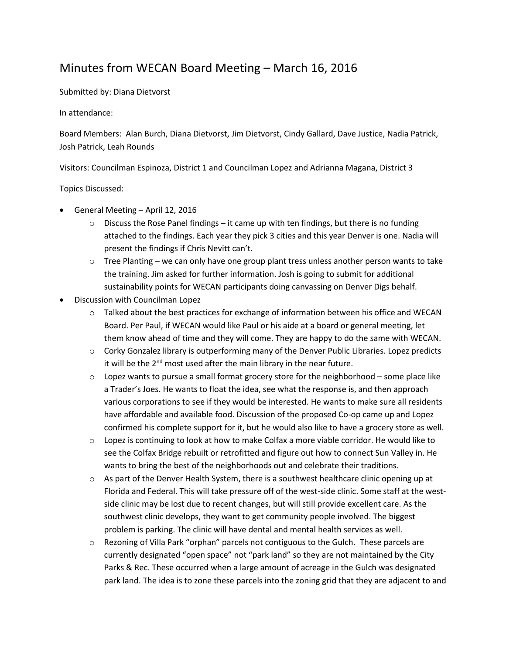## Minutes from WECAN Board Meeting – March 16, 2016

Submitted by: Diana Dietvorst

In attendance:

Board Members: Alan Burch, Diana Dietvorst, Jim Dietvorst, Cindy Gallard, Dave Justice, Nadia Patrick, Josh Patrick, Leah Rounds

Visitors: Councilman Espinoza, District 1 and Councilman Lopez and Adrianna Magana, District 3

Topics Discussed:

- General Meeting April 12, 2016
	- $\circ$  Discuss the Rose Panel findings it came up with ten findings, but there is no funding attached to the findings. Each year they pick 3 cities and this year Denver is one. Nadia will present the findings if Chris Nevitt can't.
	- $\circ$  Tree Planting we can only have one group plant tress unless another person wants to take the training. Jim asked for further information. Josh is going to submit for additional sustainability points for WECAN participants doing canvassing on Denver Digs behalf.
- Discussion with Councilman Lopez
	- $\circ$  Talked about the best practices for exchange of information between his office and WECAN Board. Per Paul, if WECAN would like Paul or his aide at a board or general meeting, let them know ahead of time and they will come. They are happy to do the same with WECAN.
	- $\circ$  Corky Gonzalez library is outperforming many of the Denver Public Libraries. Lopez predicts it will be the 2<sup>nd</sup> most used after the main library in the near future.
	- $\circ$  Lopez wants to pursue a small format grocery store for the neighborhood some place like a Trader's Joes. He wants to float the idea, see what the response is, and then approach various corporations to see if they would be interested. He wants to make sure all residents have affordable and available food. Discussion of the proposed Co-op came up and Lopez confirmed his complete support for it, but he would also like to have a grocery store as well.
	- $\circ$  Lopez is continuing to look at how to make Colfax a more viable corridor. He would like to see the Colfax Bridge rebuilt or retrofitted and figure out how to connect Sun Valley in. He wants to bring the best of the neighborhoods out and celebrate their traditions.
	- $\circ$  As part of the Denver Health System, there is a southwest healthcare clinic opening up at Florida and Federal. This will take pressure off of the west-side clinic. Some staff at the westside clinic may be lost due to recent changes, but will still provide excellent care. As the southwest clinic develops, they want to get community people involved. The biggest problem is parking. The clinic will have dental and mental health services as well.
	- o Rezoning of Villa Park "orphan" parcels not contiguous to the Gulch. These parcels are currently designated "open space" not "park land" so they are not maintained by the City Parks & Rec. These occurred when a large amount of acreage in the Gulch was designated park land. The idea is to zone these parcels into the zoning grid that they are adjacent to and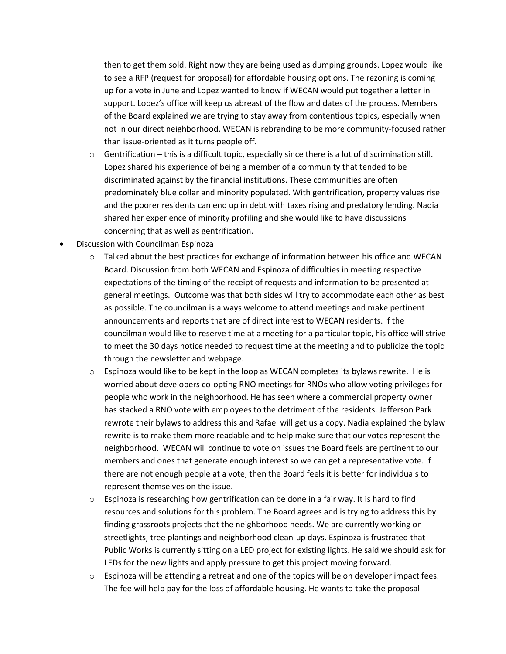then to get them sold. Right now they are being used as dumping grounds. Lopez would like to see a RFP (request for proposal) for affordable housing options. The rezoning is coming up for a vote in June and Lopez wanted to know if WECAN would put together a letter in support. Lopez's office will keep us abreast of the flow and dates of the process. Members of the Board explained we are trying to stay away from contentious topics, especially when not in our direct neighborhood. WECAN is rebranding to be more community-focused rather than issue-oriented as it turns people off.

- $\circ$  Gentrification this is a difficult topic, especially since there is a lot of discrimination still. Lopez shared his experience of being a member of a community that tended to be discriminated against by the financial institutions. These communities are often predominately blue collar and minority populated. With gentrification, property values rise and the poorer residents can end up in debt with taxes rising and predatory lending. Nadia shared her experience of minority profiling and she would like to have discussions concerning that as well as gentrification.
- Discussion with Councilman Espinoza
	- $\circ$  Talked about the best practices for exchange of information between his office and WECAN Board. Discussion from both WECAN and Espinoza of difficulties in meeting respective expectations of the timing of the receipt of requests and information to be presented at general meetings. Outcome was that both sides will try to accommodate each other as best as possible. The councilman is always welcome to attend meetings and make pertinent announcements and reports that are of direct interest to WECAN residents. If the councilman would like to reserve time at a meeting for a particular topic, his office will strive to meet the 30 days notice needed to request time at the meeting and to publicize the topic through the newsletter and webpage.
	- $\circ$  Espinoza would like to be kept in the loop as WECAN completes its bylaws rewrite. He is worried about developers co-opting RNO meetings for RNOs who allow voting privileges for people who work in the neighborhood. He has seen where a commercial property owner has stacked a RNO vote with employees to the detriment of the residents. Jefferson Park rewrote their bylaws to address this and Rafael will get us a copy. Nadia explained the bylaw rewrite is to make them more readable and to help make sure that our votes represent the neighborhood. WECAN will continue to vote on issues the Board feels are pertinent to our members and ones that generate enough interest so we can get a representative vote. If there are not enough people at a vote, then the Board feels it is better for individuals to represent themselves on the issue.
	- $\circ$  Espinoza is researching how gentrification can be done in a fair way. It is hard to find resources and solutions for this problem. The Board agrees and is trying to address this by finding grassroots projects that the neighborhood needs. We are currently working on streetlights, tree plantings and neighborhood clean-up days. Espinoza is frustrated that Public Works is currently sitting on a LED project for existing lights. He said we should ask for LEDs for the new lights and apply pressure to get this project moving forward.
	- $\circ$  Espinoza will be attending a retreat and one of the topics will be on developer impact fees. The fee will help pay for the loss of affordable housing. He wants to take the proposal